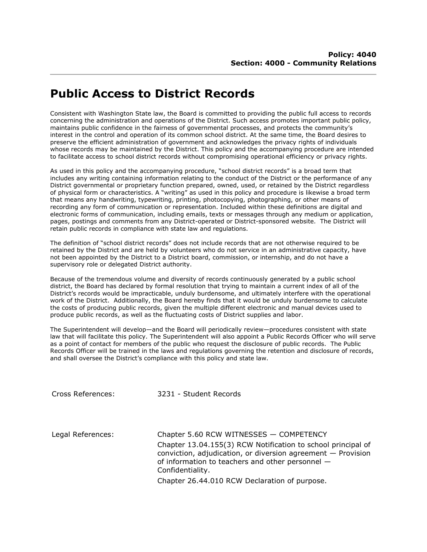## **Public Access to District Records**

Consistent with Washington State law, the Board is committed to providing the public full access to records concerning the administration and operations of the District. Such access promotes important public policy, maintains public confidence in the fairness of governmental processes, and protects the community's interest in the control and operation of its common school district. At the same time, the Board desires to preserve the efficient administration of government and acknowledges the privacy rights of individuals whose records may be maintained by the District. This policy and the accompanying procedure are intended to facilitate access to school district records without compromising operational efficiency or privacy rights.

As used in this policy and the accompanying procedure, "school district records" is a broad term that includes any writing containing information relating to the conduct of the District or the performance of any District governmental or proprietary function prepared, owned, used, or retained by the District regardless of physical form or characteristics. A "writing" as used in this policy and procedure is likewise a broad term that means any handwriting, typewriting, printing, photocopying, photographing, or other means of recording any form of communication or representation. Included within these definitions are digital and electronic forms of communication, including emails, texts or messages through any medium or application, pages, postings and comments from any District-operated or District-sponsored website. The District will retain public records in compliance with state law and regulations.

The definition of "school district records" does not include records that are not otherwise required to be retained by the District and are held by volunteers who do not service in an administrative capacity, have not been appointed by the District to a District board, commission, or internship, and do not have a supervisory role or delegated District authority.

Because of the tremendous volume and diversity of records continuously generated by a public school district, the Board has declared by formal resolution that trying to maintain a current index of all of the District's records would be impracticable, unduly burdensome, and ultimately interfere with the operational work of the District. Additionally, the Board hereby finds that it would be unduly burdensome to calculate the costs of producing public records, given the multiple different electronic and manual devices used to produce public records, as well as the fluctuating costs of District supplies and labor.

The Superintendent will develop—and the Board will periodically review—procedures consistent with state law that will facilitate this policy. The Superintendent will also appoint a Public Records Officer who will serve as a point of contact for members of the public who request the disclosure of public records. The Public Records Officer will be trained in the laws and regulations governing the retention and disclosure of records, and shall oversee the District's compliance with this policy and state law.

Cross References: 3231 - Student Records

Legal References: Chapter 5.60 RCW WITNESSES — COMPETENCY Chapter 13.04.155(3) RCW Notification to school principal of conviction, adjudication, or diversion agreement — Provision of information to teachers and other personnel — Confidentiality.

Chapter 26.44.010 RCW Declaration of purpose.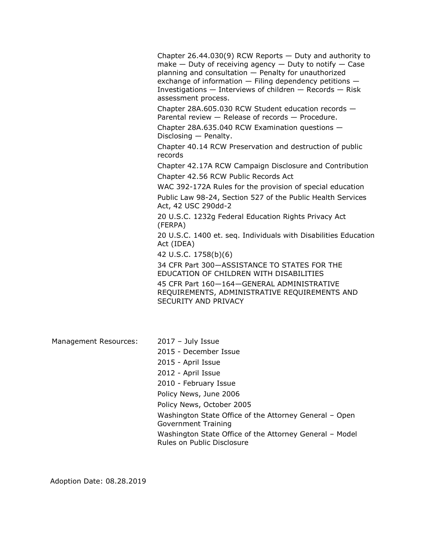Chapter 26.44.030(9) RCW Reports  $-$  Duty and authority to make  $-$  Duty of receiving agency  $-$  Duty to notify  $-$  Case planning and consultation — Penalty for unauthorized exchange of information — Filing dependency petitions — Investigations  $-$  Interviews of children  $-$  Records  $-$  Risk assessment process.

Chapter 28A.605.030 RCW Student education records — Parental review — Release of records — Procedure.

Chapter 28A.635.040 RCW Examination questions — Disclosing — Penalty.

Chapter 40.14 RCW Preservation and destruction of public records

Chapter 42.17A RCW Campaign Disclosure and Contribution Chapter 42.56 RCW Public Records Act

WAC 392-172A Rules for the provision of special education

Public Law 98-24, Section 527 of the Public Health Services Act, 42 USC 290dd-2

20 U.S.C. 1232g Federal Education Rights Privacy Act (FERPA)

20 U.S.C. 1400 et. seq. Individuals with Disabilities Education Act (IDEA)

42 U.S.C. 1758(b)(6)

34 CFR Part 300—ASSISTANCE TO STATES FOR THE EDUCATION OF CHILDREN WITH DISABILITIES

45 CFR Part 160—164—GENERAL ADMINISTRATIVE REQUIREMENTS, ADMINISTRATIVE REQUIREMENTS AND SECURITY AND PRIVACY

Management Resources: 2017 - July Issue

2015 - December Issue 2015 - April Issue 2012 - April Issue 2010 - February Issue Policy News, June 2006 Policy News, October 2005 Washington State Office of the Attorney General – Open Government Training Washington State Office of the Attorney General – Model Rules on Public Disclosure

Adoption Date: 08.28.2019